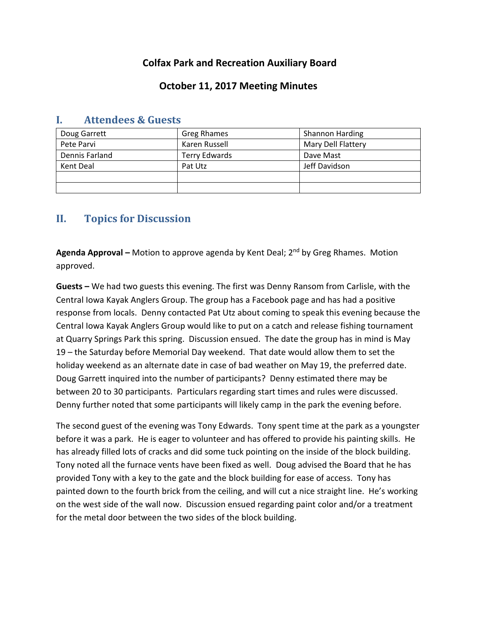## **Colfax Park and Recreation Auxiliary Board**

### **October 11, 2017 Meeting Minutes**

| Doug Garrett   | Greg Rhames   | <b>Shannon Harding</b> |
|----------------|---------------|------------------------|
| Pete Parvi     | Karen Russell | Mary Dell Flattery     |
| Dennis Farland | Terry Edwards | Dave Mast              |
| Kent Deal      | Pat Utz       | Jeff Davidson          |
|                |               |                        |
|                |               |                        |

### **I. Attendees & Guests**

# **II. Topics for Discussion**

**Agenda Approval –** Motion to approve agenda by Kent Deal; 2nd by Greg Rhames. Motion approved.

**Guests –** We had two guests this evening. The first was Denny Ransom from Carlisle, with the Central Iowa Kayak Anglers Group. The group has a Facebook page and has had a positive response from locals. Denny contacted Pat Utz about coming to speak this evening because the Central Iowa Kayak Anglers Group would like to put on a catch and release fishing tournament at Quarry Springs Park this spring. Discussion ensued. The date the group has in mind is May 19 – the Saturday before Memorial Day weekend. That date would allow them to set the holiday weekend as an alternate date in case of bad weather on May 19, the preferred date. Doug Garrett inquired into the number of participants? Denny estimated there may be between 20 to 30 participants. Particulars regarding start times and rules were discussed. Denny further noted that some participants will likely camp in the park the evening before.

The second guest of the evening was Tony Edwards. Tony spent time at the park as a youngster before it was a park. He is eager to volunteer and has offered to provide his painting skills. He has already filled lots of cracks and did some tuck pointing on the inside of the block building. Tony noted all the furnace vents have been fixed as well. Doug advised the Board that he has provided Tony with a key to the gate and the block building for ease of access. Tony has painted down to the fourth brick from the ceiling, and will cut a nice straight line. He's working on the west side of the wall now. Discussion ensued regarding paint color and/or a treatment for the metal door between the two sides of the block building.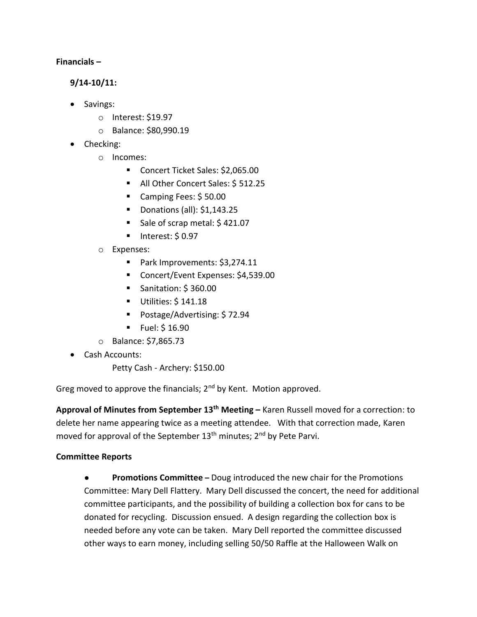#### **Financials –**

#### **9/14-10/11:**

- Savings:
	- o Interest: \$19.97
	- o Balance: \$80,990.19
- Checking:
	- o Incomes:
		- Concert Ticket Sales: \$2,065.00
		- All Other Concert Sales: \$512.25
		- Camping Fees: \$50.00
		- Donations (all): \$1,143.25
		- Sale of scrap metal: \$421.07
		- $\blacksquare$  Interest: \$ 0.97
	- o Expenses:
		- Park Improvements: \$3,274.11
		- Concert/Event Expenses: \$4,539.00
		- Sanitation: \$360.00
		- **Utilities: \$141.18**
		- Postage/Advertising: \$ 72.94
		- $\blacksquare$  Fuel: \$ 16.90
	- o Balance: \$7,865.73
- Cash Accounts:

Petty Cash - Archery: \$150.00

Greg moved to approve the financials; 2<sup>nd</sup> by Kent. Motion approved.

**Approval of Minutes from September 13th Meeting –** Karen Russell moved for a correction: to delete her name appearing twice as a meeting attendee. With that correction made, Karen moved for approval of the September 13<sup>th</sup> minutes; 2<sup>nd</sup> by Pete Parvi.

#### **Committee Reports**

● **Promotions Committee –** Doug introduced the new chair for the Promotions Committee: Mary Dell Flattery. Mary Dell discussed the concert, the need for additional committee participants, and the possibility of building a collection box for cans to be donated for recycling. Discussion ensued. A design regarding the collection box is needed before any vote can be taken. Mary Dell reported the committee discussed other ways to earn money, including selling 50/50 Raffle at the Halloween Walk on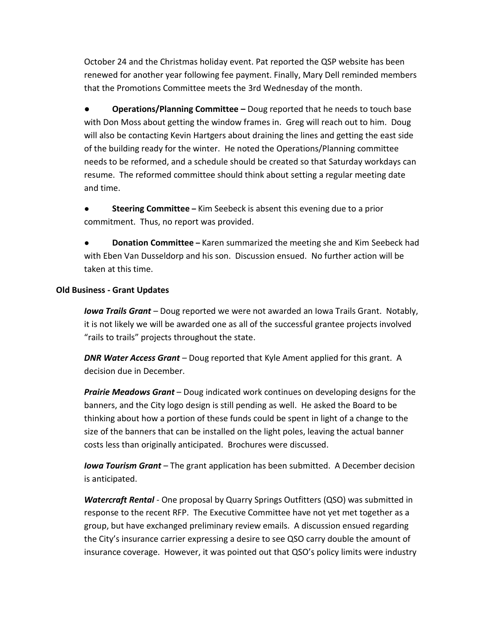October 24 and the Christmas holiday event. Pat reported the QSP website has been renewed for another year following fee payment. Finally, Mary Dell reminded members that the Promotions Committee meets the 3rd Wednesday of the month.

**● Operations/Planning Committee –** Doug reported that he needs to touch base with Don Moss about getting the window frames in. Greg will reach out to him. Doug will also be contacting Kevin Hartgers about draining the lines and getting the east side of the building ready for the winter. He noted the Operations/Planning committee needs to be reformed, and a schedule should be created so that Saturday workdays can resume. The reformed committee should think about setting a regular meeting date and time.

**Steering Committee** – Kim Seebeck is absent this evening due to a prior commitment. Thus, no report was provided.

**Donation Committee** – Karen summarized the meeting she and Kim Seebeck had with Eben Van Dusseldorp and his son. Discussion ensued. No further action will be taken at this time.

#### **Old Business - Grant Updates**

*Iowa Trails Grant* – Doug reported we were not awarded an Iowa Trails Grant. Notably, it is not likely we will be awarded one as all of the successful grantee projects involved "rails to trails" projects throughout the state.

*DNR Water Access Grant* – Doug reported that Kyle Ament applied for this grant. A decision due in December.

*Prairie Meadows Grant* – Doug indicated work continues on developing designs for the banners, and the City logo design is still pending as well. He asked the Board to be thinking about how a portion of these funds could be spent in light of a change to the size of the banners that can be installed on the light poles, leaving the actual banner costs less than originally anticipated. Brochures were discussed.

*Iowa Tourism Grant* – The grant application has been submitted. A December decision is anticipated.

*Watercraft Rental* - One proposal by Quarry Springs Outfitters (QSO) was submitted in response to the recent RFP. The Executive Committee have not yet met together as a group, but have exchanged preliminary review emails. A discussion ensued regarding the City's insurance carrier expressing a desire to see QSO carry double the amount of insurance coverage. However, it was pointed out that QSO's policy limits were industry